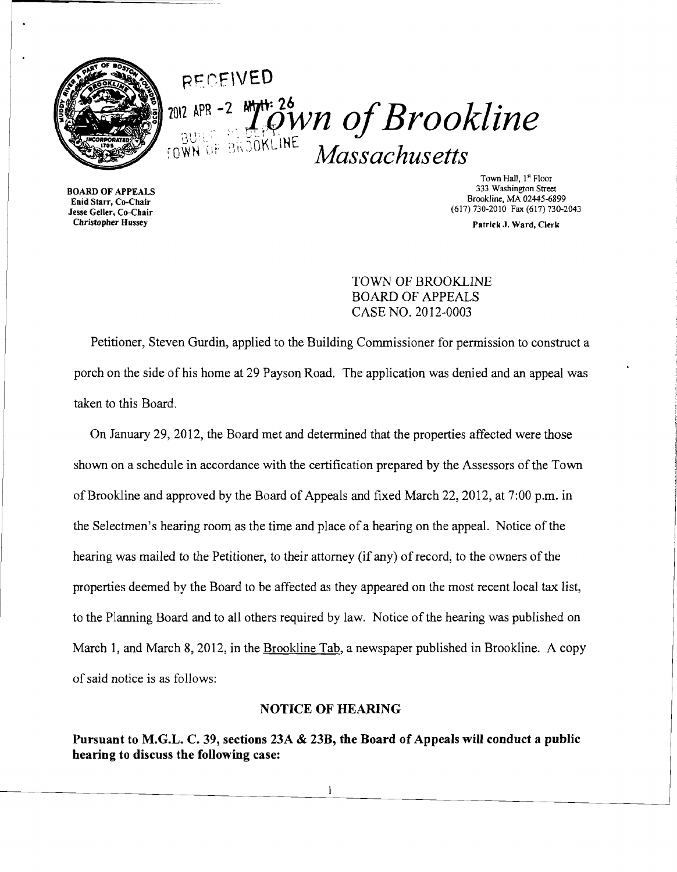

RFCF\VEO <sup>2012 APR -2</sup> *M<sup>tr. 26</sup> OWN of Brookline*  $_{\rm{rowN+OF-Bk30KLINE}}$   $Massachusetts$ 

BOARD OF APPEALS Enid Starr, Co-Chair Jesse Geller, Co-Chair Christopher Hussey

Town Hall, 1" Floor 333 Washington Street Brookline, MA 02445-6899 (617) 730·2010 Fax (617) 730·2043

Patrick J. Ward, Clerk

## TOWN OF BROOKLINE BOARD OF APPEALS CASE NO. 2012-0003

Petitioner, Steven Gurdin, applied to the Building Commissioner for permission to construct a porch on the side of his home at 29 Payson Road. The application was denied and an appeal was taken to this Board.

On January 29,2012, the Board met and determined that the properties affected were those shown on a schedule in accordance with the certification prepared by the Assessors of the Town of Brookline and approved by the Board of Appeals and fixed March 22,2012, at 7:00 p.m. in the Selectmen's hearing room as the time and place of a hearing on the appeal. Notice of the hearing was mailed to the Petitioner, to their attorney (if any) of record, to the owners of the properties deemed by the Board to be affected as they appeared on the most recent local tax list, to the Planning Board and to all others required by law. Notice of the hearing was published on March 1, and March 8, 2012, in the Brookline Tab, a newspaper published in Brookline. A copy of said notice is as follows:

#### NOTICE OF HEARING

Pursuant to M.G.L. C. 39, sections 23A & 23B, the Board of Appeals will conduct a public hearing to discuss the following case:

1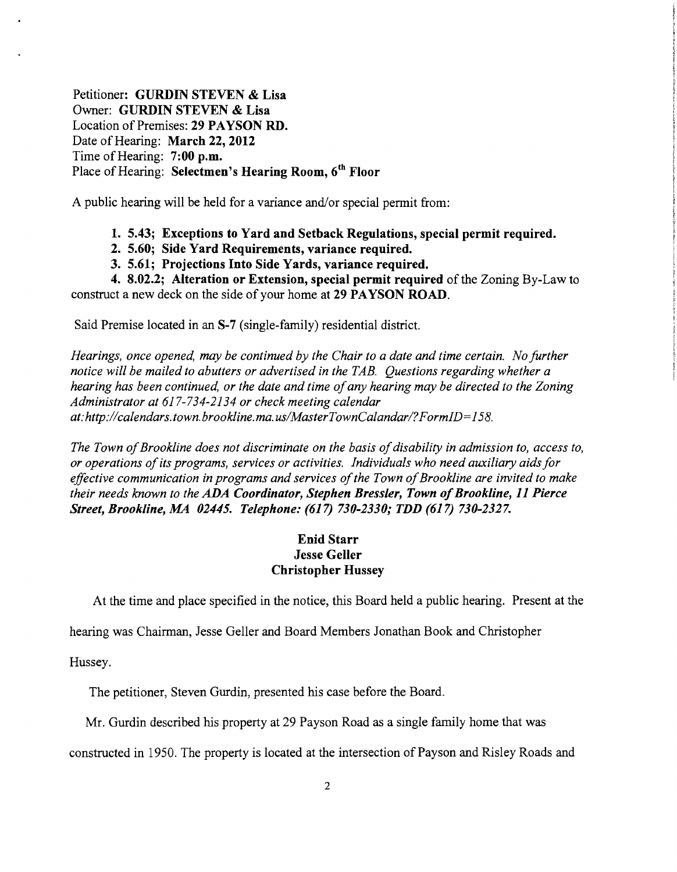Petitioner: **GURDIN STEVEN & Lisa**  Owner: **GURDIN STEVEN & Lisa**  Location of Premises: **29 PAYSON RD.**  Date of Hearing: **March 22, 2012**  Time of Hearing: **7:00 p.m.**  Place of Hearing: **Selectmen's Hearing Room, 6th Floor** 

A public hearing will be held for a variance and/or special permit from:

- **1. 5.43; Exceptions to Yard and Setback Regulations, special permit required.**
- **2. 5.60; Side Yard Requirements, variance required.**
- **3. 5.61; Projections Into Side Yards, variance required.**

**4. 8.02.2; Alteration or Extension, special permit required** of the Zoning By-Law to construct a new deck on the side of your home at **29 PAYSON ROAD.** 

Said Premise located in an **S-7** (single-family) residential district.

*Hearings, once opened, may be continued by the Chair to a date and time certain. No further notice will be mailed to abutters or advertised in the TAB. Questions regarding whether a hearing has been continued, or the date and time ofany hearing may be directed to the Zoning Administrator at* 617-734-2134 *or check meeting calendar at:http://calendars.town.brookline.ma.usIMasterTownCalandarl?FormID=158.* 

*The Town of Brookline does not discriminate on the basis of disability in admission to, access to, or operations ofits programs, services or activities. Individuals who need auxiliary aids for*  effective communication in programs and services of the Town of Brookline are invited to make *their needs known to the ADA Coordinator, Stephen Bressler, Town ofBrookline,* **11** *Pierce Street, Brookline, MA 02445. Telephone:* **(617)** *730-2330,. TDD* **(617)** *730-2327.* 

### **Enid Starr Jesse Geller Christopher Hussey**

At the time and place specified in the notice, this Board held a public hearing. Present at the

hearing was Chairman, Jesse Geller and Board Members Jonathan Book and Christopher

Hussey.

The petitioner, Steven Gurdin, presented his case before the Board.

Mr. Gurdin described his property at 29 Payson Road as a single family home that was

constructed in 1950. The property is located at the intersection of Payson and Risley Roads and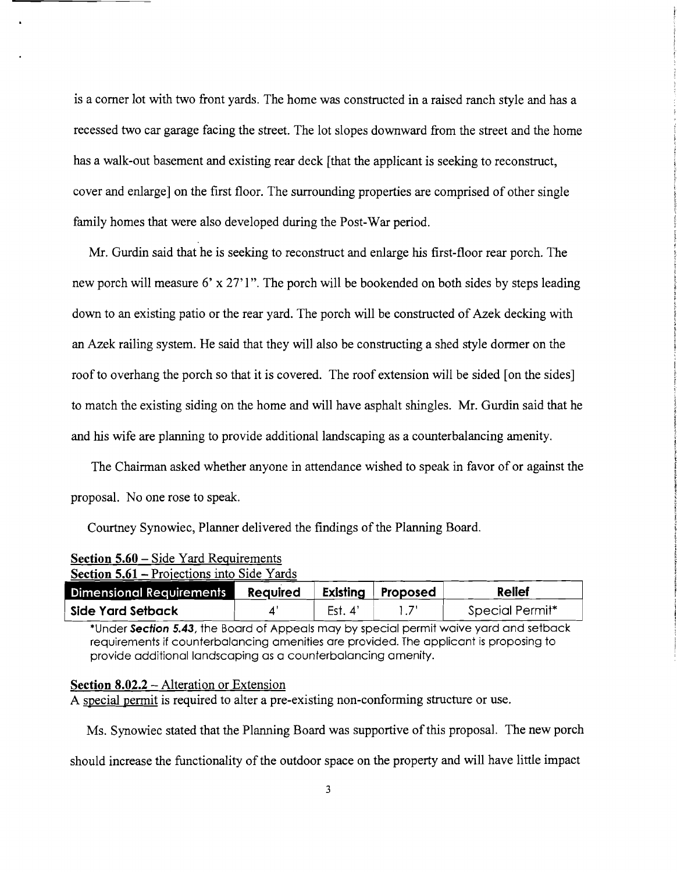is a corner lot with two front yards. The home was constructed in a raised ranch style and has a recessed two car garage facing the street. The lot slopes downward from the street and the home has a walk-out basement and existing rear deck [that the applicant is seeking to reconstruct, cover and enlarge] on the first floor. The surrounding properties are comprised of other single family homes that were also developed during the Post-War period.

Mr. Gurdin said that he is seeking to reconstruct and enlarge his first-floor rear porch. The new porch will measure 6' x 27'1". The porch will be bookended on both sides by steps leading down to an existing patio or the rear yard. The porch will be constructed of Azek decking with an Azek railing system. He said that they will also be constructing a shed style dormer on the roof to overhang the porch so that it is covered. The roof extension will be sided [on the sides] to match the existing siding on the home and will have asphalt shingles. Mr. Gurdin said that he and his wife are planning to provide additional landscaping as a counterbalancing amenity.

The Chairman asked whether anyone in attendance wished to speak in favor of or against the proposal. No one rose to speak.

Courtney Synowiec, Planner delivered the findings of the Planning Board.

| <b>Section 5.61 – Projections into Side Yards</b> |                 |          |          |                 |
|---------------------------------------------------|-----------------|----------|----------|-----------------|
| <b>Dimensional Requirements</b>                   | <b>Required</b> | Existing | Proposed | Relief          |
| Side Yard Setback                                 |                 | Est. 4'  |          | Special Permit* |

# **Section 5.60 – Side Yard Requirements**

\*Under **Section 5.43,** the Board of Appeals may by special permit waive yard and setback requirements if counterbalancing amenities are provided. The applicant is proposing to provide additional landscaping as a counterbalancing amenity.

#### **Section 8.02.2** - Alteration or Extension

A special permit is required to alter a pre-existing non-conforming structure or use.

Ms. Synowiec stated that the Planning Board was supportive of this proposal. The new porch

should increase the functionality of the outdoor space on the property and will have little impact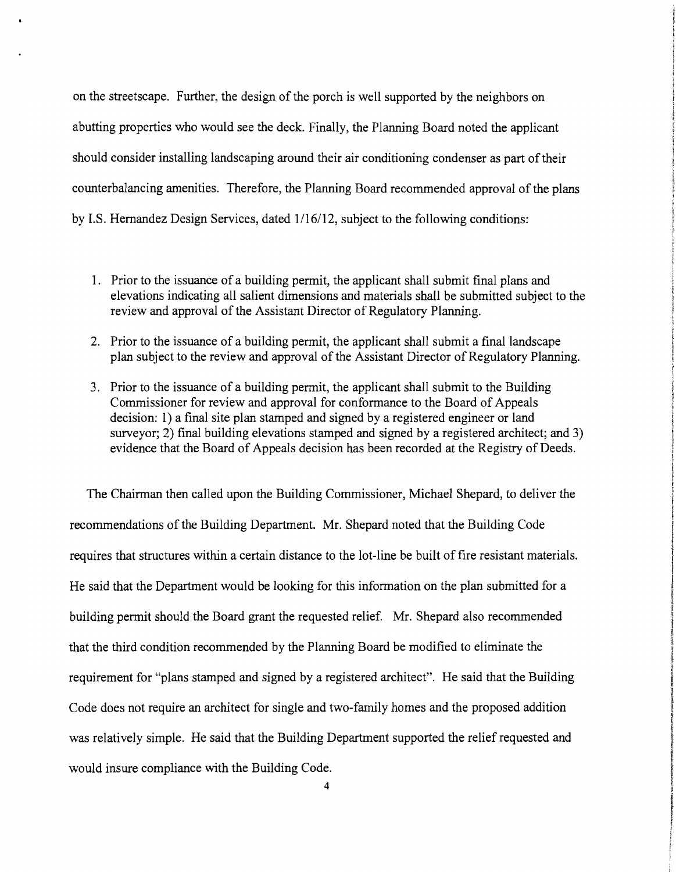on the streetscape. Further, the design of the porch is well supported by the neighbors on abutting properties who would see the deck. Finally, the Planning Board noted the applicant should consider installing landscaping around their air conditioning condenser as part of their counterbalancing amenities. Therefore, the Planning Board recommended approval of the plans by 1.S. Hernandez Design Services, dated 1/16/12, subject to the following conditions:

- 1. Prior to the issuance of a building permit, the applicant shall submit final plans and elevations indicating all salient dimensions and materials shall be submitted subject to the review and approval of the Assistant Director of Regulatory Planning.
- 2. Prior to the issuance of a building permit, the applicant shall submit a final landscape plan subject to the review and approval of the Assistant Director of Regulatory Planning.
- 3. Prior to the issuance of a building permit, the applicant shall submit to the Building Commissioner for review and approval for conformance to the Board of Appeals decision: 1) a final site plan stamped and signed by a registered engineer or land surveyor; 2) final building elevations stamped and signed by a registered architect; and 3) evidence that the Board of Appeals decision has been recorded at the Registry of Deeds.

The Chairman then called upon the Building Commissioner, Michael Shepard, to deliver the recommendations of the Building Department. Mr. Shepard noted that the Building Code requires that structures within a certain distance to the lot-line be built of fire resistant materials. He said that the Department would be looking for this information on the plan submitted for a building permit should the Board grant the requested relief. Mr. Shepard also recommended that the third condition recommended by the Planning Board be modified to eliminate the requirement for "plans stamped and signed by a registered architect". He said that the Building Code does not require an architect for single and two-family homes and the proposed addition was relatively simple. He said that the Building Department supported the relief requested and would insure compliance with the Building Code.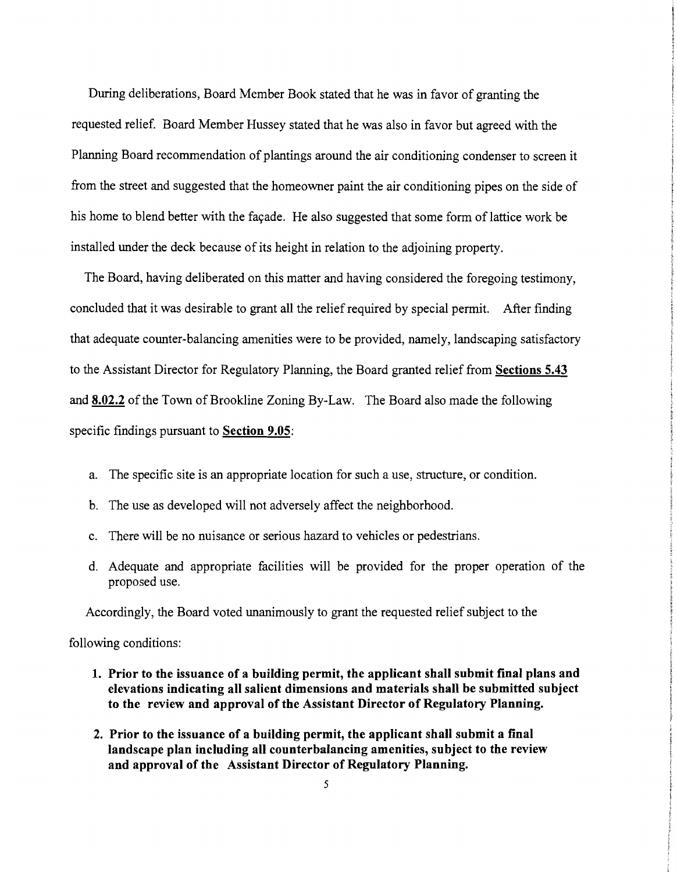During deliberations, Board Member Book stated that he was in favor of granting the requested relief. Board Member Hussey stated that he was also in favor but agreed with the Planning Board recommendation of plantings around the air conditioning condenser to screen it from the street and suggested that the homeowner paint the air conditioning pipes on the side of his home to blend better with the façade. He also suggested that some form of lattice work be installed under the deck because of its height in relation to the adjoining property.

The Board, having deliberated on this matter and having considered the foregoing testimony, concluded that it was desirable to grant all the relief required by special permit. After finding that adequate counter-balancing amenities were to be provided, namely, landscaping satisfactory to the Assistant Director for Regulatory Planning, the Board granted relief from **Sections 5.43**  and **8.02.2** of the Town of Brookline Zoning By-Law. The Board also made the following specific findings pursuant to **Section 9.05:** 

- a. The specific site is an appropriate location for such a use, structure, or condition.
- b. The use as developed will not adversely affect the neighborhood.
- c. There will be no nuisance or serious hazard to vehicles or pedestrians.
- d. Adequate and appropriate facilities will be provided for the proper operation of the proposed use.

Accordingly, the Board voted unanimously to grant the requested relief subject to the

following conditions:

- **1. Prior to the issuance of a building permit, the applicant shall submit final plans and elevations indicating all salient dimensions and materials shall be submitted subject to the review and approval of the Assistant Director of Regulatory Planning.**
- **2. Prior to the issuance of a building permit, the applicant shall submit a final landscape plan including all counterbalancing amenities, subject to the review and approval of the Assistant Director of Regulatory Planning.**